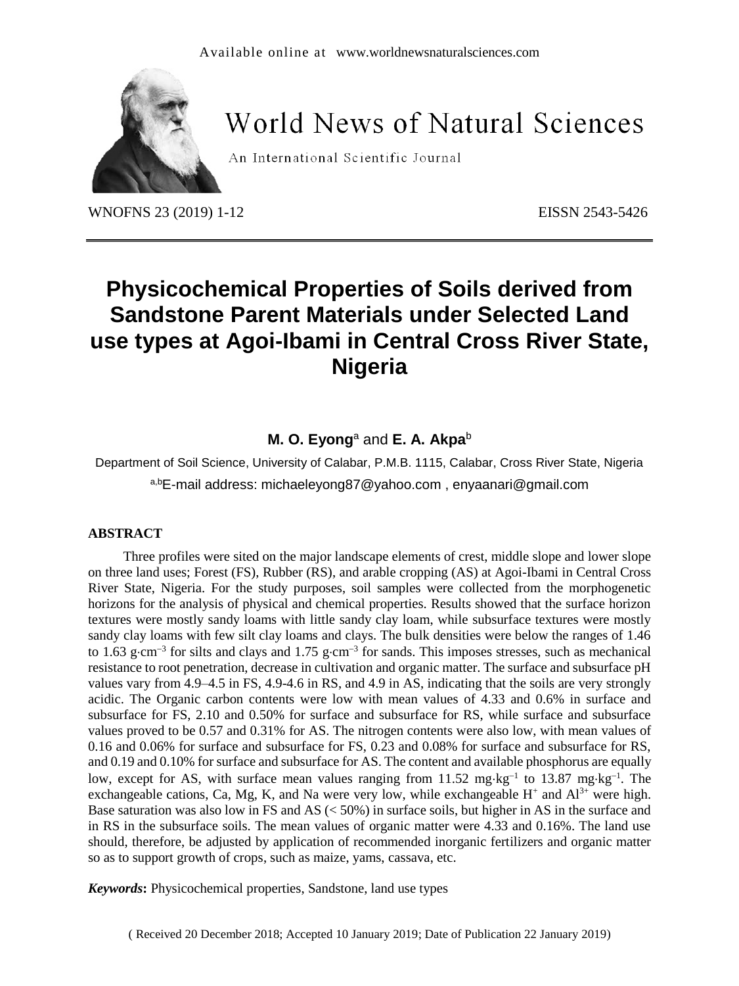

# **World News of Natural Sciences**

An International Scientific Journal

WNOFNS 23 (2019) 1-12 EISSN 2543-5426

## **Physicochemical Properties of Soils derived from Sandstone Parent Materials under Selected Land use types at Agoi-Ibami in Central Cross River State, Nigeria**

## **M. O. Eyong**<sup>a</sup> and **E. A. Akpa**<sup>b</sup>

Department of Soil Science, University of Calabar, P.M.B. 1115, Calabar, Cross River State, Nigeria

a,bE-mail address: michaeleyong87@yahoo.com , enyaanari@gmail.com

#### **ABSTRACT**

Three profiles were sited on the major landscape elements of crest, middle slope and lower slope on three land uses; Forest (FS), Rubber (RS), and arable cropping (AS) at Agoi-Ibami in Central Cross River State, Nigeria. For the study purposes, soil samples were collected from the morphogenetic horizons for the analysis of physical and chemical properties. Results showed that the surface horizon textures were mostly sandy loams with little sandy clay loam, while subsurface textures were mostly sandy clay loams with few silt clay loams and clays. The bulk densities were below the ranges of 1.46 to 1.63 g·cm<sup>-3</sup> for silts and clays and 1.75 g·cm<sup>-3</sup> for sands. This imposes stresses, such as mechanical resistance to root penetration, decrease in cultivation and organic matter. The surface and subsurface pH values vary from 4.9–4.5 in FS, 4.9-4.6 in RS, and 4.9 in AS, indicating that the soils are very strongly acidic. The Organic carbon contents were low with mean values of 4.33 and 0.6% in surface and subsurface for FS, 2.10 and 0.50% for surface and subsurface for RS, while surface and subsurface values proved to be 0.57 and 0.31% for AS. The nitrogen contents were also low, with mean values of 0.16 and 0.06% for surface and subsurface for FS, 0.23 and 0.08% for surface and subsurface for RS, and 0.19 and 0.10% for surface and subsurface for AS. The content and available phosphorus are equally low, except for AS, with surface mean values ranging from  $11.52 \text{ mg} \cdot \text{kg}^{-1}$  to  $13.87 \text{ mg} \cdot \text{kg}^{-1}$ . The exchangeable cations, Ca, Mg, K, and Na were very low, while exchangeable  $H^+$  and  $Al^{3+}$  were high. Base saturation was also low in FS and AS (< 50%) in surface soils, but higher in AS in the surface and in RS in the subsurface soils. The mean values of organic matter were 4.33 and 0.16%. The land use should, therefore, be adjusted by application of recommended inorganic fertilizers and organic matter so as to support growth of crops, such as maize, yams, cassava, etc.

*Keywords***:** Physicochemical properties, Sandstone, land use types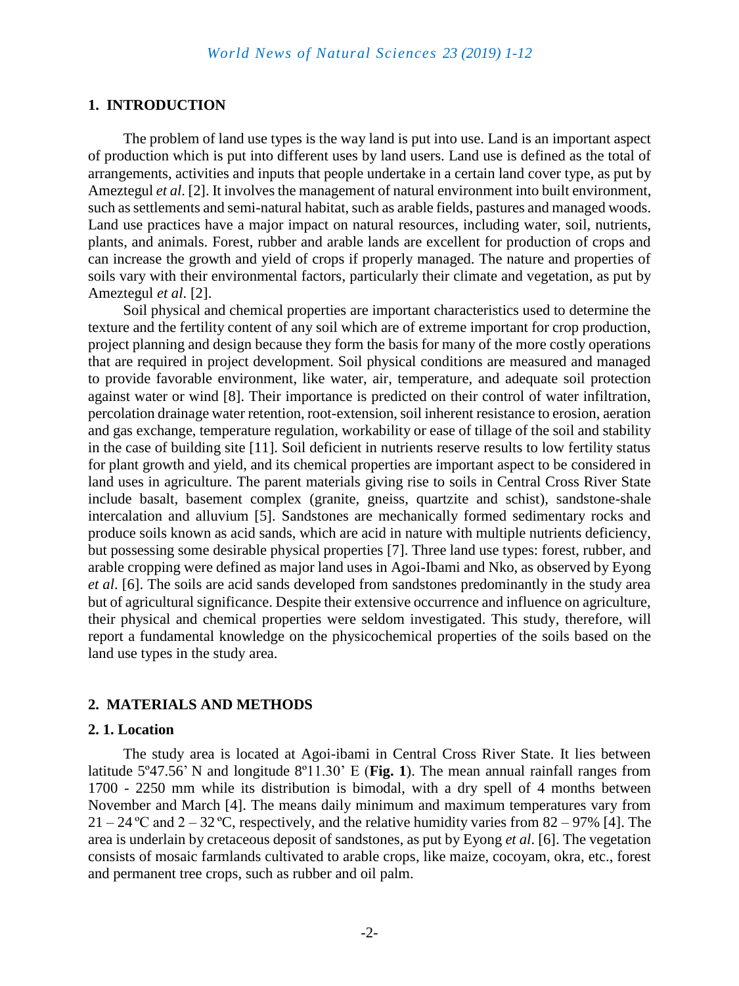#### **1. INTRODUCTION**

The problem of land use types is the way land is put into use. Land is an important aspect of production which is put into different uses by land users. Land use is defined as the total of arrangements, activities and inputs that people undertake in a certain land cover type, as put by Ameztegul *et al*. [2]. It involves the management of natural environment into built environment, such as settlements and semi-natural habitat, such as arable fields, pastures and managed woods. Land use practices have a major impact on natural resources, including water, soil, nutrients, plants, and animals. Forest, rubber and arable lands are excellent for production of crops and can increase the growth and yield of crops if properly managed. The nature and properties of soils vary with their environmental factors, particularly their climate and vegetation, as put by Ameztegul *et al*. [2].

Soil physical and chemical properties are important characteristics used to determine the texture and the fertility content of any soil which are of extreme important for crop production, project planning and design because they form the basis for many of the more costly operations that are required in project development. Soil physical conditions are measured and managed to provide favorable environment, like water, air, temperature, and adequate soil protection against water or wind [8]. Their importance is predicted on their control of water infiltration, percolation drainage water retention, root-extension, soil inherent resistance to erosion, aeration and gas exchange, temperature regulation, workability or ease of tillage of the soil and stability in the case of building site [11]. Soil deficient in nutrients reserve results to low fertility status for plant growth and yield, and its chemical properties are important aspect to be considered in land uses in agriculture. The parent materials giving rise to soils in Central Cross River State include basalt, basement complex (granite, gneiss, quartzite and schist), sandstone-shale intercalation and alluvium [5]. Sandstones are mechanically formed sedimentary rocks and produce soils known as acid sands, which are acid in nature with multiple nutrients deficiency, but possessing some desirable physical properties [7]. Three land use types: forest, rubber, and arable cropping were defined as major land uses in Agoi-Ibami and Nko, as observed by Eyong *et al*. [6]. The soils are acid sands developed from sandstones predominantly in the study area but of agricultural significance. Despite their extensive occurrence and influence on agriculture, their physical and chemical properties were seldom investigated. This study, therefore, will report a fundamental knowledge on the physicochemical properties of the soils based on the land use types in the study area.

#### **2. MATERIALS AND METHODS**

#### **2. 1. Location**

The study area is located at Agoi-ibami in Central Cross River State. It lies between latitude 5º47.56' N and longitude 8º11.30' E (**Fig. 1**). The mean annual rainfall ranges from 1700 - 2250 mm while its distribution is bimodal, with a dry spell of 4 months between November and March [4]. The means daily minimum and maximum temperatures vary from  $21 - 24$  °C and  $2 - 32$  °C, respectively, and the relative humidity varies from 82 – 97% [4]. The area is underlain by cretaceous deposit of sandstones, as put by Eyong *et al*. [6]. The vegetation consists of mosaic farmlands cultivated to arable crops, like maize, cocoyam, okra, etc., forest and permanent tree crops, such as rubber and oil palm.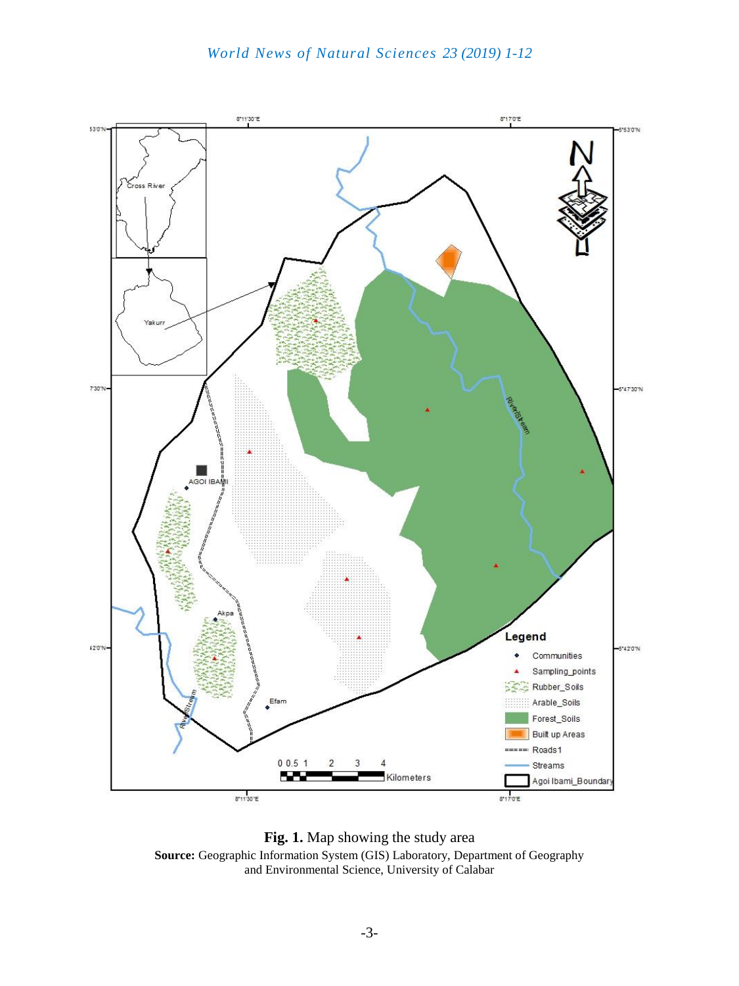

**Fig. 1.** Map showing the study area **Source:** Geographic Information System (GIS) Laboratory, Department of Geography and Environmental Science, University of Calabar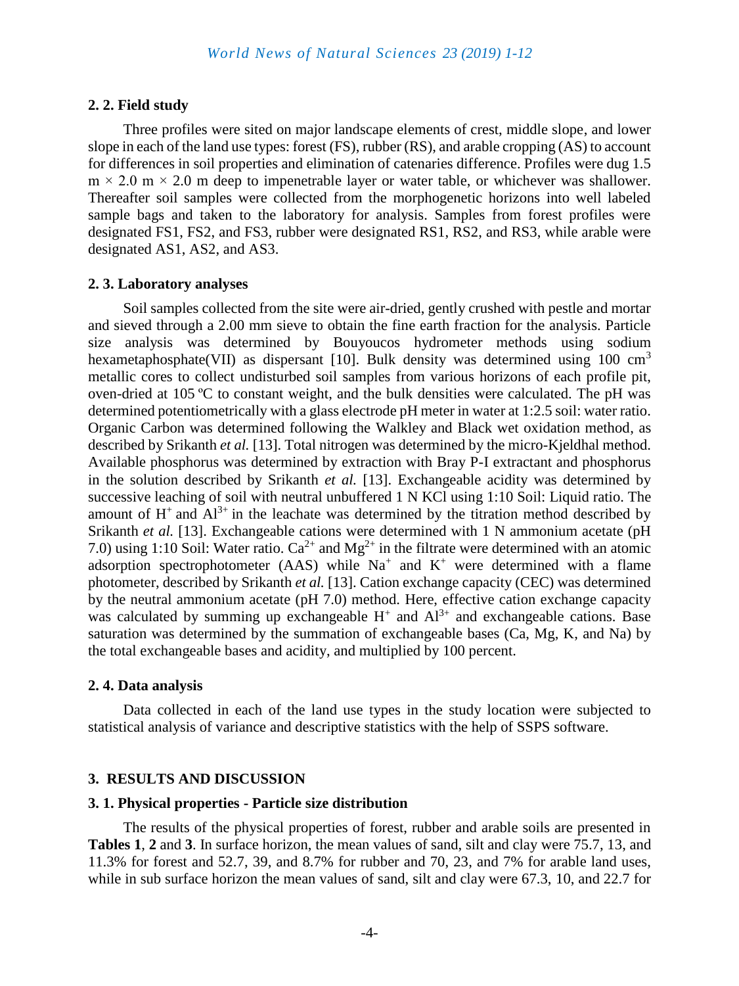#### **2. 2. Field study**

Three profiles were sited on major landscape elements of crest, middle slope, and lower slope in each of the land use types: forest (FS), rubber (RS), and arable cropping (AS) to account for differences in soil properties and elimination of catenaries difference. Profiles were dug 1.5  $m \times 2.0$  m  $\times 2.0$  m deep to impenetrable layer or water table, or whichever was shallower. Thereafter soil samples were collected from the morphogenetic horizons into well labeled sample bags and taken to the laboratory for analysis. Samples from forest profiles were designated FS1, FS2, and FS3, rubber were designated RS1, RS2, and RS3, while arable were designated AS1, AS2, and AS3.

#### **2. 3. Laboratory analyses**

Soil samples collected from the site were air-dried, gently crushed with pestle and mortar and sieved through a 2.00 mm sieve to obtain the fine earth fraction for the analysis. Particle size analysis was determined by Bouyoucos hydrometer methods using sodium hexametaphosphate(VII) as dispersant [10]. Bulk density was determined using  $100 \text{ cm}^3$ metallic cores to collect undisturbed soil samples from various horizons of each profile pit, oven-dried at 105 ºC to constant weight, and the bulk densities were calculated. The pH was determined potentiometrically with a glass electrode pH meter in water at 1:2.5 soil: water ratio. Organic Carbon was determined following the Walkley and Black wet oxidation method, as described by Srikanth *et al.* [13]. Total nitrogen was determined by the micro-Kjeldhal method. Available phosphorus was determined by extraction with Bray P-I extractant and phosphorus in the solution described by Srikanth *et al.* [13]. Exchangeable acidity was determined by successive leaching of soil with neutral unbuffered 1 N KCl using 1:10 Soil: Liquid ratio. The amount of  $H^+$  and  $Al^{3+}$  in the leachate was determined by the titration method described by Srikanth *et al.* [13]. Exchangeable cations were determined with 1 N ammonium acetate (pH) 7.0) using 1:10 Soil: Water ratio.  $Ca^{2+}$  and  $Mg^{2+}$  in the filtrate were determined with an atomic adsorption spectrophotometer (AAS) while  $Na<sup>+</sup>$  and  $K<sup>+</sup>$  were determined with a flame photometer, described by Srikanth *et al.* [13]. Cation exchange capacity (CEC) was determined by the neutral ammonium acetate (pH 7.0) method. Here, effective cation exchange capacity was calculated by summing up exchangeable  $H^+$  and  $Al^{3+}$  and exchangeable cations. Base saturation was determined by the summation of exchangeable bases (Ca, Mg, K, and Na) by the total exchangeable bases and acidity, and multiplied by 100 percent.

#### **2. 4. Data analysis**

Data collected in each of the land use types in the study location were subjected to statistical analysis of variance and descriptive statistics with the help of SSPS software.

#### **3. RESULTS AND DISCUSSION**

#### **3. 1. Physical properties - Particle size distribution**

The results of the physical properties of forest, rubber and arable soils are presented in **Tables 1**, **2** and **3**. In surface horizon, the mean values of sand, silt and clay were 75.7, 13, and 11.3% for forest and 52.7, 39, and 8.7% for rubber and 70, 23, and 7% for arable land uses, while in sub surface horizon the mean values of sand, silt and clay were 67.3, 10, and 22.7 for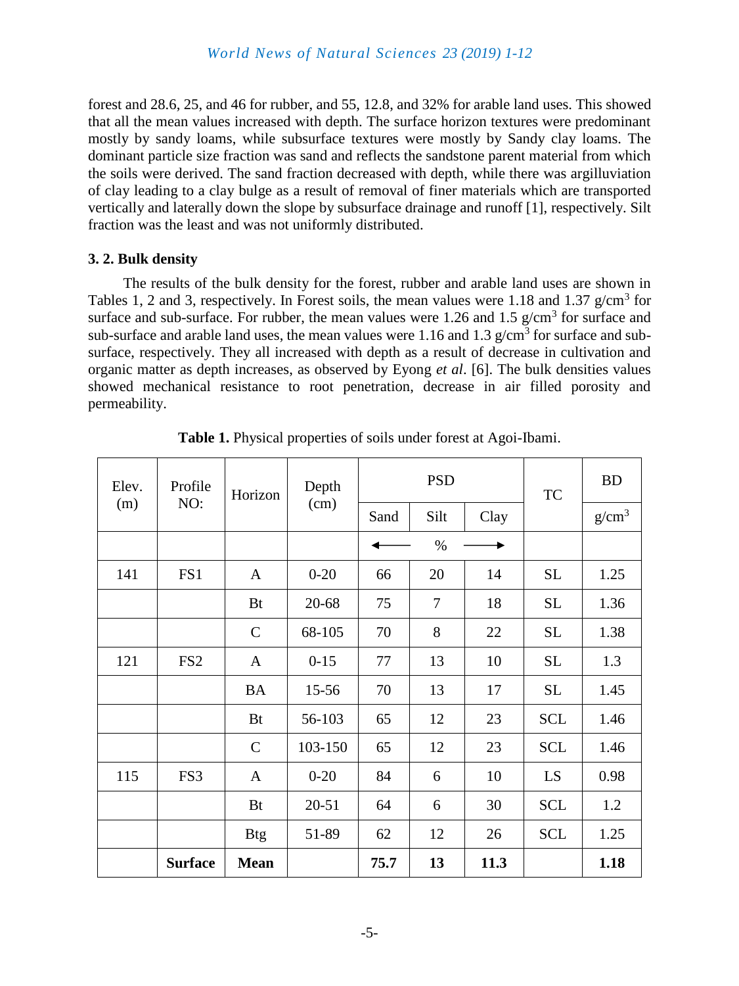forest and 28.6, 25, and 46 for rubber, and 55, 12.8, and 32% for arable land uses. This showed that all the mean values increased with depth. The surface horizon textures were predominant mostly by sandy loams, while subsurface textures were mostly by Sandy clay loams. The dominant particle size fraction was sand and reflects the sandstone parent material from which the soils were derived. The sand fraction decreased with depth, while there was argilluviation of clay leading to a clay bulge as a result of removal of finer materials which are transported vertically and laterally down the slope by subsurface drainage and runoff [1], respectively. Silt fraction was the least and was not uniformly distributed.

#### **3. 2. Bulk density**

The results of the bulk density for the forest, rubber and arable land uses are shown in Tables 1, 2 and 3, respectively. In Forest soils, the mean values were 1.18 and 1.37  $g/cm<sup>3</sup>$  for surface and sub-surface. For rubber, the mean values were 1.26 and 1.5  $g/cm<sup>3</sup>$  for surface and sub-surface and arable land uses, the mean values were 1.16 and 1.3  $g/cm<sup>3</sup>$  for surface and subsurface, respectively. They all increased with depth as a result of decrease in cultivation and organic matter as depth increases, as observed by Eyong *et al*. [6]. The bulk densities values showed mechanical resistance to root penetration, decrease in air filled porosity and permeability.

| Elev. | Profile<br>NO:  | Horizon      | Depth     |      | <b>PSD</b>     | TC   | <b>BD</b>  |                   |
|-------|-----------------|--------------|-----------|------|----------------|------|------------|-------------------|
| (m)   |                 |              | (cm)      | Sand | Silt           | Clay |            | g/cm <sup>3</sup> |
|       |                 |              |           |      | $\%$           |      |            |                   |
| 141   | FS1             | $\mathbf{A}$ | $0-20$    | 66   | 20             | 14   | <b>SL</b>  | 1.25              |
|       |                 | <b>Bt</b>    | 20-68     | 75   | $\overline{7}$ | 18   | <b>SL</b>  | 1.36              |
|       |                 | $\mathsf{C}$ | 68-105    | 70   | 8              | 22   | <b>SL</b>  | 1.38              |
| 121   | FS <sub>2</sub> | $\mathbf{A}$ | $0 - 15$  | 77   | 13             | 10   | <b>SL</b>  | 1.3               |
|       |                 | <b>BA</b>    | 15-56     | 70   | 13             | 17   | <b>SL</b>  | 1.45              |
|       |                 | <b>Bt</b>    | 56-103    | 65   | 12             | 23   | <b>SCL</b> | 1.46              |
|       |                 | $\mathsf{C}$ | 103-150   | 65   | 12             | 23   | <b>SCL</b> | 1.46              |
| 115   | FS3             | $\mathbf{A}$ | $0 - 20$  | 84   | 6              | 10   | LS         | 0.98              |
|       |                 | <b>Bt</b>    | $20 - 51$ | 64   | 6              | 30   | <b>SCL</b> | 1.2               |
|       |                 | <b>Btg</b>   | 51-89     | 62   | 12             | 26   | <b>SCL</b> | 1.25              |
|       | <b>Surface</b>  | <b>Mean</b>  |           | 75.7 | 13             | 11.3 |            | 1.18              |

**Table 1.** Physical properties of soils under forest at Agoi-Ibami.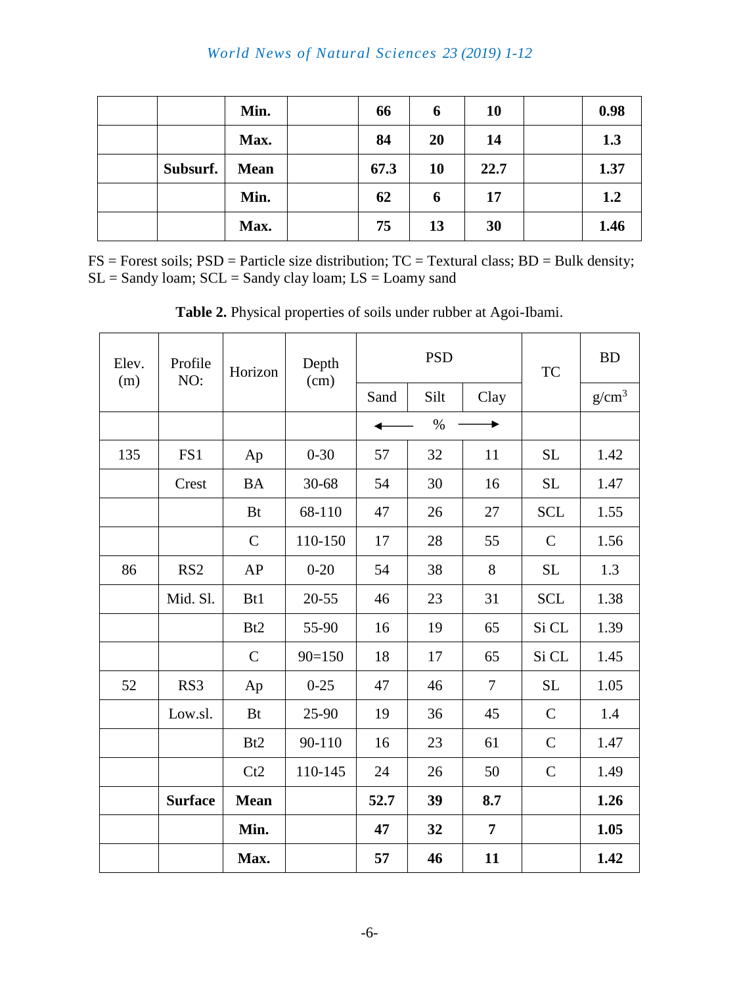|          | Min.        | 66   | 6         | 10   | 0.98 |
|----------|-------------|------|-----------|------|------|
|          | Max.        | 84   | 20        | 14   | 1.3  |
| Subsurf. | <b>Mean</b> | 67.3 | <b>10</b> | 22.7 | 1.37 |
|          | Min.        | 62   | 6         | 17   | 1,2  |
|          | Max.        | 75   | 13        | 30   | 1.46 |

 $FS = Forest soils$ ;  $PSD = Particle size distribution$ ;  $TC = Textural class$ ;  $BD = Bulk density$ ;  $SL =$  Sandy loam;  $SCL =$  Sandy clay loam;  $LS =$  Loamy sand

| Elev.<br>(m) | Profile<br>NO:  | Horizon         | Depth<br>(cm) |      | <b>PSD</b> | <b>TC</b>      | <b>BD</b>     |                   |
|--------------|-----------------|-----------------|---------------|------|------------|----------------|---------------|-------------------|
|              |                 |                 |               | Sand | Silt       | Clay           |               | g/cm <sup>3</sup> |
|              |                 |                 |               |      | $\%$       |                |               |                   |
| 135          | FS1             | Ap              | $0 - 30$      | 57   | 32         | 11             | <b>SL</b>     | 1.42              |
|              | Crest           | <b>BA</b>       | $30 - 68$     | 54   | 30         | 16             | <b>SL</b>     | 1.47              |
|              |                 | <b>Bt</b>       | 68-110        | 47   | 26         | 27             | <b>SCL</b>    | 1.55              |
|              |                 | $\mathcal{C}$   | 110-150       | 17   | 28         | 55             | $\mathcal{C}$ | 1.56              |
| 86           | RS <sub>2</sub> | AP              | $0 - 20$      | 54   | 38         | 8              | <b>SL</b>     | 1.3               |
|              | Mid. Sl.        | B <sub>t1</sub> | $20 - 55$     | 46   | 23         | 31             | <b>SCL</b>    | 1.38              |
|              |                 | B <sub>t2</sub> | 55-90         | 16   | 19         | 65             | Si CL         | 1.39              |
|              |                 | $\mathcal{C}$   | $90=150$      | 18   | 17         | 65             | Si CL         | 1.45              |
| 52           | RS3             | Ap              | $0 - 25$      | 47   | 46         | 7              | <b>SL</b>     | 1.05              |
|              | Low.sl.         | <b>Bt</b>       | 25-90         | 19   | 36         | 45             | $\mathcal{C}$ | 1.4               |
|              |                 | B <sub>t2</sub> | 90-110        | 16   | 23         | 61             | $\mathcal{C}$ | 1.47              |
|              |                 | Ct2             | 110-145       | 24   | 26         | 50             | $\mathcal{C}$ | 1.49              |
|              | <b>Surface</b>  | <b>Mean</b>     |               | 52.7 | 39         | 8.7            |               | 1.26              |
|              |                 | Min.            |               | 47   | 32         | $\overline{7}$ |               | 1.05              |
|              |                 | Max.            |               | 57   | 46         | 11             |               | 1.42              |

**Table 2.** Physical properties of soils under rubber at Agoi-Ibami.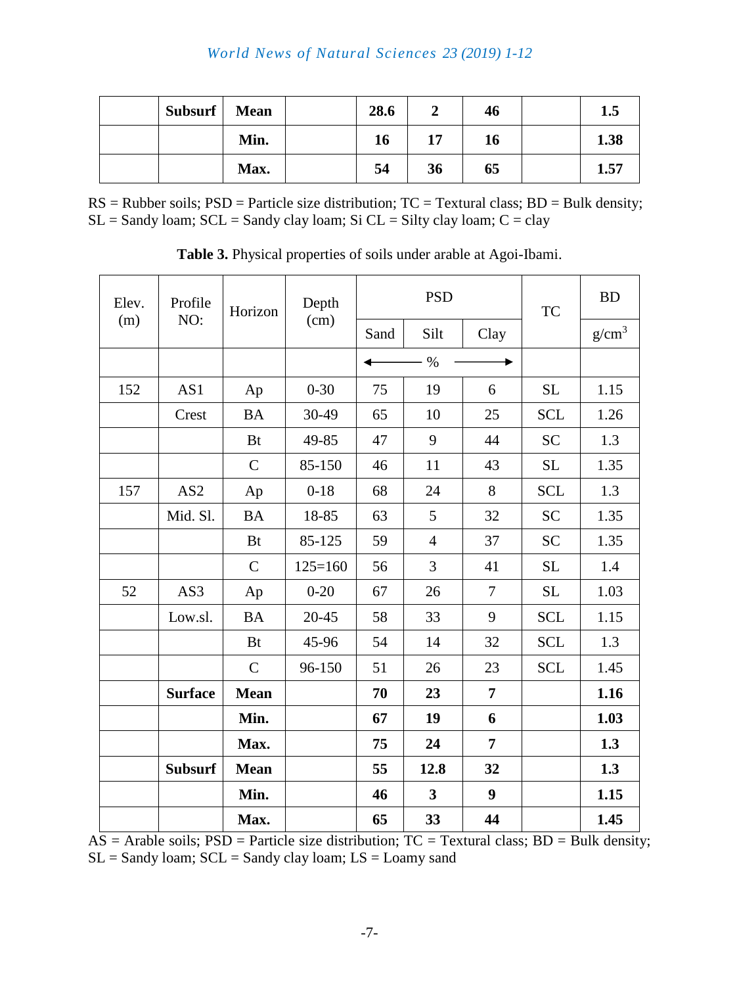## *World News of Natural Sciences 23 (2019) 1-12*

| Subsurf | <b>Mean</b> | 28.6 |    | 46 | 1.5  |
|---------|-------------|------|----|----|------|
|         | Min.        | 16   | 17 | 16 | 1.38 |
|         | Max.        | 54   | 36 | 65 | 1.57 |

 $RS = Rubber soils; PSD = Particle size distribution; TC = Textural class; BD = Bulk density;$  $SL =$  Sandy loam;  $SCL =$  Sandy clay loam;  $Si CL =$  Silty clay loam;  $C =$  clay

| Elev. | Profile         | Horizon       | Depth       |      | <b>PSD</b>              | <b>TC</b>      | <b>BD</b>  |                   |
|-------|-----------------|---------------|-------------|------|-------------------------|----------------|------------|-------------------|
| (m)   | NO:             |               | (cm)        | Sand | Silt                    | Clay           |            | g/cm <sup>3</sup> |
|       |                 |               |             |      | $\frac{0}{0}$           |                |            |                   |
| 152   | AS1             | Ap            | $0 - 30$    | 75   | 19                      | 6              | <b>SL</b>  | 1.15              |
|       | Crest           | <b>BA</b>     | 30-49       | 65   | 10                      | 25             | <b>SCL</b> | 1.26              |
|       |                 | <b>Bt</b>     | 49-85       | 47   | 9                       | 44             | <b>SC</b>  | 1.3               |
|       |                 | $\mathbf C$   | 85-150      | 46   | 11                      | 43             | <b>SL</b>  | 1.35              |
| 157   | AS <sub>2</sub> | Ap            | $0 - 18$    | 68   | 24                      | 8              | <b>SCL</b> | 1.3               |
|       | Mid. Sl.        | <b>BA</b>     | 18-85       | 63   | 5                       | 32             | <b>SC</b>  | 1.35              |
|       |                 | <b>Bt</b>     | 85-125      | 59   | $\overline{4}$          | 37             | <b>SC</b>  | 1.35              |
|       |                 | $\mathcal{C}$ | $125 = 160$ | 56   | 3                       | 41             | <b>SL</b>  | 1.4               |
| 52    | AS3             | Ap            | $0 - 20$    | 67   | 26                      | $\overline{7}$ | <b>SL</b>  | 1.03              |
|       | Low.sl.         | <b>BA</b>     | $20 - 45$   | 58   | 33                      | 9              | <b>SCL</b> | 1.15              |
|       |                 | <b>Bt</b>     | 45-96       | 54   | 14                      | 32             | <b>SCL</b> | 1.3               |
|       |                 | $\mathsf{C}$  | 96-150      | 51   | 26                      | 23             | <b>SCL</b> | 1.45              |
|       | <b>Surface</b>  | <b>Mean</b>   |             | 70   | 23                      | $\overline{7}$ |            | 1.16              |
|       |                 | Min.          |             | 67   | 19                      | 6              |            | 1.03              |
|       |                 | Max.          |             | 75   | 24                      | 7              |            | 1.3               |
|       | <b>Subsurf</b>  | <b>Mean</b>   |             | 55   | 12.8                    | 32             |            | 1.3               |
|       |                 | Min.          |             | 46   | $\overline{\mathbf{3}}$ | 9              |            | 1.15              |
|       |                 | Max.          |             | 65   | 33                      | 44             |            | 1.45              |

**Table 3.** Physical properties of soils under arable at Agoi-Ibami.

 $\overrightarrow{AS}$  = Arable soils;  $\overrightarrow{PSD}$  = Particle size distribution;  $\overrightarrow{TC}$  = Textural class;  $\overrightarrow{BD}$  = Bulk density;  $SL =$  Sandy loam;  $SCL =$  Sandy clay loam;  $LS =$  Loamy sand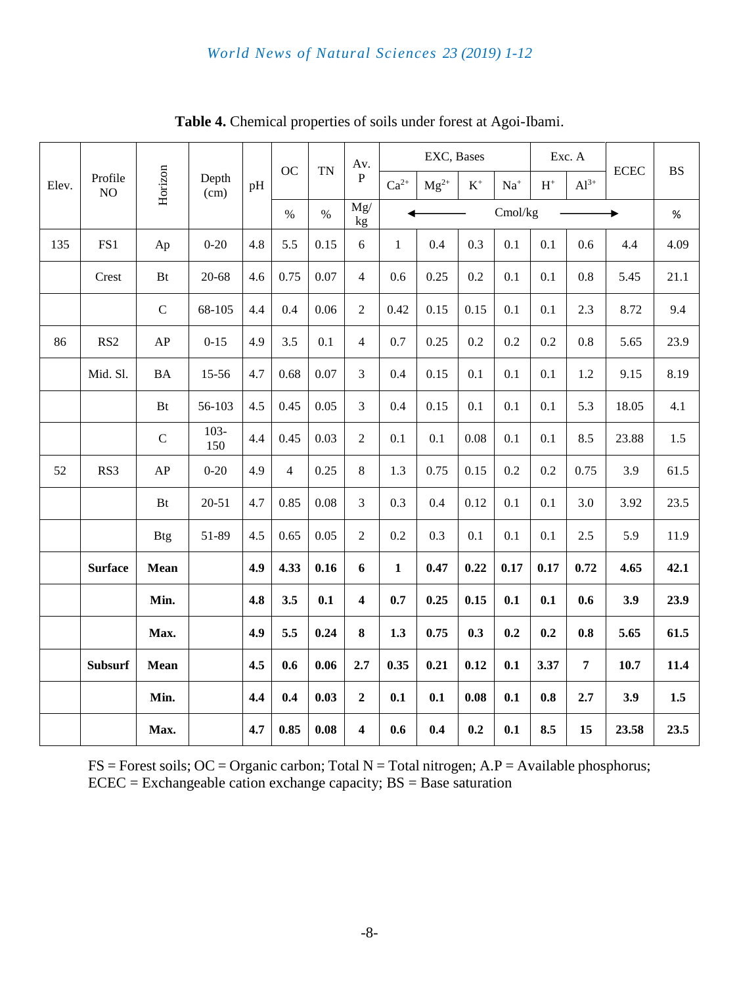|       |                |             | Depth<br>(cm)  |     | OC             | <b>TN</b> | Av.                     |              | EXC, Bases |                |         | Exc. A         |                | <b>ECEC</b> | <b>BS</b> |
|-------|----------------|-------------|----------------|-----|----------------|-----------|-------------------------|--------------|------------|----------------|---------|----------------|----------------|-------------|-----------|
| Elev. | Profile<br>NO  | Horizon     |                | pH  |                |           | $\, {\bf P}$            | $Ca^{2+}$    | $Mg^{2+}$  | $\mathbf{K}^+$ | $Na+$   | $\mathbf{H}^+$ | $Al^{3+}$      |             |           |
|       |                |             |                |     | $\%$           | $\%$      | Mg/<br>kg               |              |            |                | Cmol/kg |                | $\%$           |             |           |
| 135   | FS1            | Ap          | $0 - 20$       | 4.8 | 5.5            | 0.15      | $6\,$                   | $\mathbf{1}$ | 0.4        | 0.3            | 0.1     | 0.1            | 0.6            | 4.4         | 4.09      |
|       | Crest          | <b>Bt</b>   | $20 - 68$      | 4.6 | 0.75           | 0.07      | $\overline{4}$          | 0.6          | 0.25       | 0.2            | 0.1     | 0.1            | 0.8            | 5.45        | 21.1      |
|       |                | $\mathbf C$ | 68-105         | 4.4 | 0.4            | 0.06      | $\overline{2}$          | 0.42         | 0.15       | 0.15           | 0.1     | 0.1            | 2.3            | 8.72        | 9.4       |
| 86    | RS2            | AP          | $0 - 15$       | 4.9 | 3.5            | 0.1       | $\overline{4}$          | 0.7          | 0.25       | 0.2            | 0.2     | 0.2            | 0.8            | 5.65        | 23.9      |
|       | Mid. Sl.       | $\rm BA$    | 15-56          | 4.7 | 0.68           | 0.07      | $\overline{3}$          | 0.4          | 0.15       | 0.1            | 0.1     | 0.1            | 1.2            | 9.15        | 8.19      |
|       |                | Bt          | 56-103         | 4.5 | 0.45           | 0.05      | $\overline{3}$          | 0.4          | 0.15       | 0.1            | 0.1     | 0.1            | 5.3            | 18.05       | 4.1       |
|       |                | $\mathbf C$ | $103 -$<br>150 | 4.4 | 0.45           | 0.03      | $\overline{2}$          | 0.1          | 0.1        | 0.08           | 0.1     | 0.1            | 8.5            | 23.88       | 1.5       |
| 52    | RS3            | AP          | $0 - 20$       | 4.9 | $\overline{4}$ | 0.25      | $\,8\,$                 | 1.3          | 0.75       | 0.15           | 0.2     | 0.2            | 0.75           | 3.9         | 61.5      |
|       |                | <b>Bt</b>   | $20 - 51$      | 4.7 | 0.85           | 0.08      | 3                       | 0.3          | 0.4        | 0.12           | 0.1     | 0.1            | 3.0            | 3.92        | 23.5      |
|       |                | <b>Btg</b>  | 51-89          | 4.5 | 0.65           | 0.05      | $\overline{2}$          | 0.2          | 0.3        | 0.1            | 0.1     | 0.1            | 2.5            | 5.9         | 11.9      |
|       | <b>Surface</b> | Mean        |                | 4.9 | 4.33           | 0.16      | 6                       | $\mathbf{1}$ | 0.47       | 0.22           | 0.17    | 0.17           | 0.72           | 4.65        | 42.1      |
|       |                | Min.        |                | 4.8 | 3.5            | 0.1       | $\overline{\mathbf{4}}$ | 0.7          | 0.25       | 0.15           | 0.1     | 0.1            | 0.6            | 3.9         | 23.9      |
|       |                | Max.        |                | 4.9 | 5.5            | 0.24      | $\bf{8}$                | 1.3          | 0.75       | 0.3            | 0.2     | 0.2            | 0.8            | 5.65        | 61.5      |
|       | <b>Subsurf</b> | Mean        |                | 4.5 | 0.6            | 0.06      | 2.7                     | 0.35         | 0.21       | 0.12           | 0.1     | 3.37           | $\overline{7}$ | 10.7        | 11.4      |
|       |                | Min.        |                | 4.4 | 0.4            | 0.03      | $\overline{2}$          | 0.1          | 0.1        | 0.08           | 0.1     | 0.8            | 2.7            | 3.9         | $1.5\,$   |
|       |                | Max.        |                | 4.7 | 0.85           | 0.08      | $\overline{\mathbf{4}}$ | 0.6          | 0.4        | 0.2            | 0.1     | 8.5            | 15             | 23.58       | 23.5      |

**Table 4.** Chemical properties of soils under forest at Agoi-Ibami.

 $FS = Forest soils$ ;  $OC = Organization; Total N = Total nitrogen; A.P = Available phosphorus;$  $ECEC = Exchangeable cation exchange capacity; BS = Base saturation$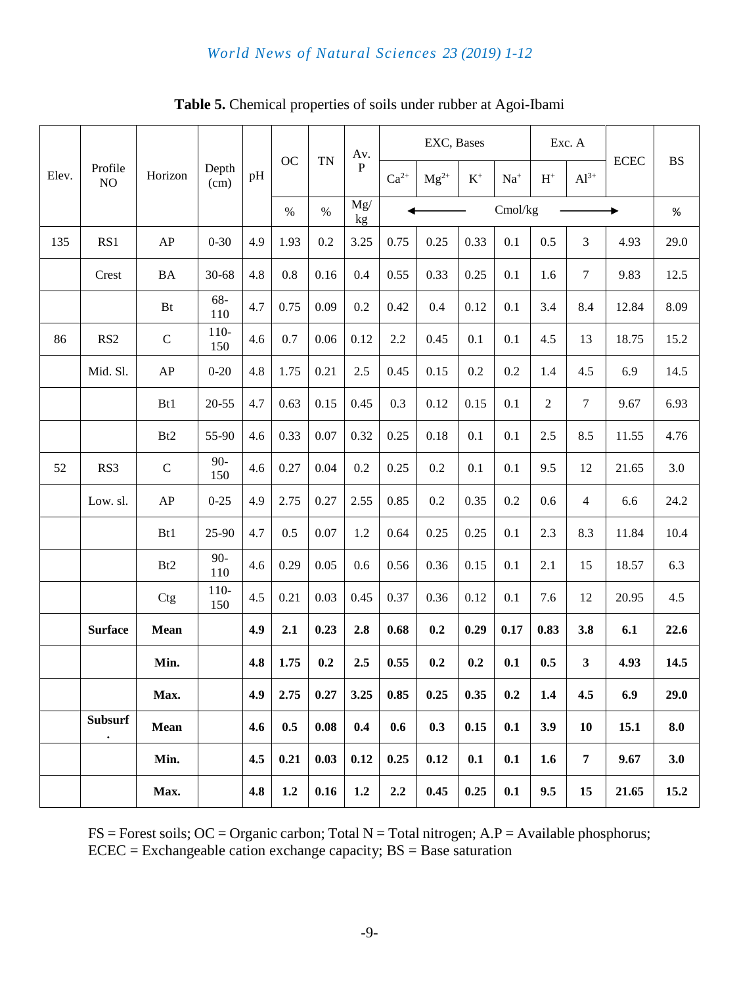## *World News of Natural Sciences 23 (2019) 1-12*

|       |                             |                 |                |     | OC   | <b>TN</b> | Av.          |           | EXC, Bases    |           |         |                | Exc. A           |             |                        |
|-------|-----------------------------|-----------------|----------------|-----|------|-----------|--------------|-----------|---------------|-----------|---------|----------------|------------------|-------------|------------------------|
| Elev. | Profile<br>NO               | Horizon         | Depth<br>(cm)  | pH  |      |           | $\, {\bf P}$ | $Ca^{2+}$ | $\rm Mg^{2+}$ | $\rm K^+$ | $Na+$   | $H^+$          | $Al^{3+}$        | <b>ECEC</b> | $\mathbf{B}\mathbf{S}$ |
|       |                             |                 |                |     | $\%$ | $\%$      | Mg/<br>kg    |           |               |           | Cmol/kg |                |                  |             | $\%$                   |
| 135   | RS1                         | AP              | $0 - 30$       | 4.9 | 1.93 | 0.2       | 3.25         | 0.75      | 0.25          | 0.33      | 0.1     | 0.5            | 3                | 4.93        | 29.0                   |
|       | Crest                       | <b>BA</b>       | 30-68          | 4.8 | 0.8  | 0.16      | 0.4          | 0.55      | 0.33          | 0.25      | 0.1     | 1.6            | $\boldsymbol{7}$ | 9.83        | 12.5                   |
|       |                             | Bt              | 68-<br>110     | 4.7 | 0.75 | 0.09      | 0.2          | 0.42      | 0.4           | 0.12      | 0.1     | 3.4            | 8.4              | 12.84       | 8.09                   |
| 86    | RS <sub>2</sub>             | $\mathbf C$     | $110-$<br>150  | 4.6 | 0.7  | 0.06      | 0.12         | 2.2       | 0.45          | 0.1       | 0.1     | 4.5            | 13               | 18.75       | 15.2                   |
|       | Mid. Sl.                    | ${\sf AP}$      | $0 - 20$       | 4.8 | 1.75 | 0.21      | 2.5          | 0.45      | 0.15          | 0.2       | 0.2     | 1.4            | 4.5              | 6.9         | 14.5                   |
|       |                             | Bt1             | $20 - 55$      | 4.7 | 0.63 | 0.15      | 0.45         | 0.3       | 0.12          | 0.15      | 0.1     | $\mathfrak{2}$ | $\boldsymbol{7}$ | 9.67        | 6.93                   |
|       |                             | B <sub>t2</sub> | 55-90          | 4.6 | 0.33 | 0.07      | 0.32         | 0.25      | 0.18          | 0.1       | 0.1     | 2.5            | 8.5              | 11.55       | 4.76                   |
| 52    | RS3                         | $\mathsf{C}$    | $90 -$<br>150  | 4.6 | 0.27 | 0.04      | 0.2          | 0.25      | 0.2           | 0.1       | 0.1     | 9.5            | 12               | 21.65       | 3.0                    |
|       | Low. sl.                    | AP              | $0 - 25$       | 4.9 | 2.75 | 0.27      | 2.55         | 0.85      | 0.2           | 0.35      | 0.2     | 0.6            | 4                | 6.6         | 24.2                   |
|       |                             | Bt1             | 25-90          | 4.7 | 0.5  | 0.07      | 1.2          | 0.64      | 0.25          | 0.25      | 0.1     | 2.3            | 8.3              | 11.84       | 10.4                   |
|       |                             | B <sub>t2</sub> | $90 -$<br>110  | 4.6 | 0.29 | 0.05      | 0.6          | 0.56      | 0.36          | 0.15      | 0.1     | 2.1            | 15               | 18.57       | 6.3                    |
|       |                             | Ctg             | $110 -$<br>150 | 4.5 | 0.21 | 0.03      | 0.45         | 0.37      | 0.36          | 0.12      | 0.1     | 7.6            | 12               | 20.95       | 4.5                    |
|       | <b>Surface</b>              | Mean            |                | 4.9 | 2.1  | 0.23      | 2.8          | 0.68      | 0.2           | 0.29      | 0.17    | 0.83           | 3.8              | 6.1         | 22.6                   |
|       |                             | Min.            |                | 4.8 | 1.75 | 0.2       | 2.5          | 0.55      | 0.2           | 0.2       | 0.1     | 0.5            | 3                | 4.93        | 14.5                   |
|       |                             | Max.            |                | 4.9 | 2.75 | 0.27      | 3.25         | 0.85      | 0.25          | 0.35      | 0.2     | 1.4            | 4.5              | 6.9         | 29.0                   |
|       | <b>Subsurf</b><br>$\bullet$ | Mean            |                | 4.6 | 0.5  | 0.08      | 0.4          | 0.6       | 0.3           | 0.15      | 0.1     | 3.9            | 10               | 15.1        | 8.0                    |
|       |                             | Min.            |                | 4.5 | 0.21 | 0.03      | 0.12         | 0.25      | 0.12          | 0.1       | 0.1     | 1.6            | $\overline{7}$   | 9.67        | 3.0                    |
|       |                             | Max.            |                | 4.8 | 1.2  | 0.16      | 1.2          | 2.2       | 0.45          | 0.25      | 0.1     | 9.5            | 15               | 21.65       | 15.2                   |

**Table 5.** Chemical properties of soils under rubber at Agoi-Ibami

 $FS = Forest soils$ ;  $OC = Organization$ ; Total N = Total nitrogen; A.P = Available phosphorus;  $ECEC = Exchangeable cation exchange capacity; BS = Base saturation$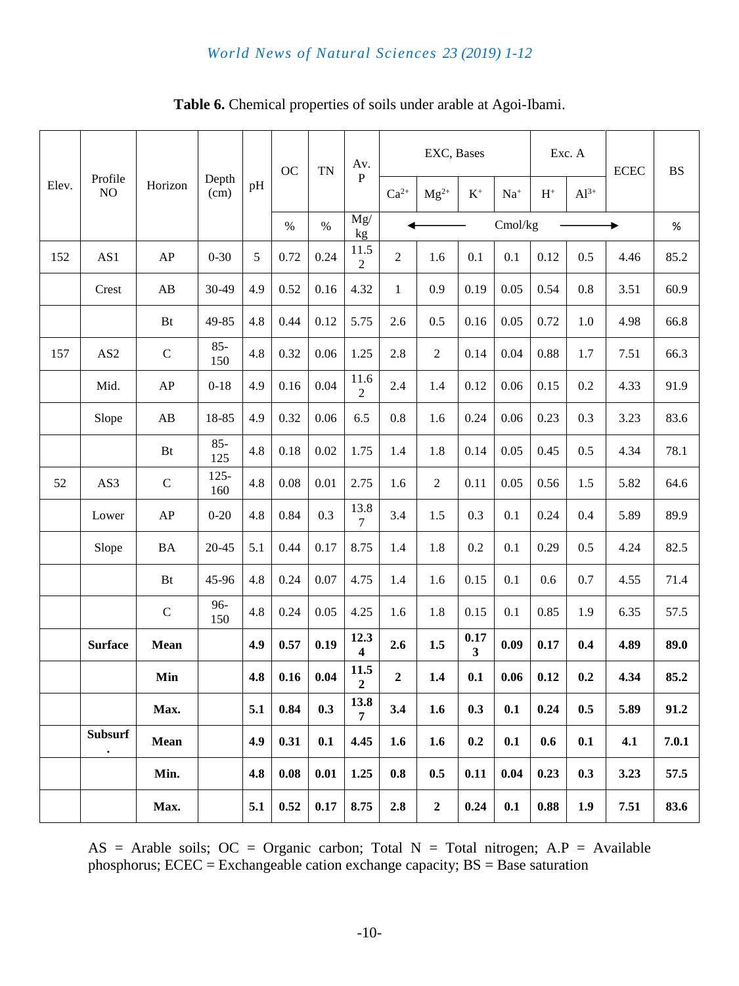## *World News of Natural Sciences 23 (2019) 1-12*

|       |                             |             |                |     | OC   | <b>TN</b> | Av.                    |                  | EXC, Bases     |           |         |                | Exc. A    | <b>ECEC</b> | <b>BS</b> |
|-------|-----------------------------|-------------|----------------|-----|------|-----------|------------------------|------------------|----------------|-----------|---------|----------------|-----------|-------------|-----------|
| Elev. | Profile<br>NO               | Horizon     | Depth<br>(cm)  | pH  |      |           | ${\bf P}$              | $Ca^{2+}$        | $Mg^{2+}$      | $\rm K^+$ | $Na+$   | $\mathbf{H}^+$ | $Al^{3+}$ |             |           |
|       |                             |             |                |     | $\%$ | $\%$      | Mg/<br>kg              |                  |                |           | Cmol/kg |                |           |             | $\%$      |
| 152   | AS1                         | AP          | $0 - 30$       | 5   | 0.72 | 0.24      | 11.5<br>$\overline{c}$ | $\overline{2}$   | 1.6            | 0.1       | 0.1     | 0.12           | 0.5       | 4.46        | 85.2      |
|       | Crest                       | AB          | 30-49          | 4.9 | 0.52 | 0.16      | 4.32                   | $\mathbf{1}$     | 0.9            | 0.19      | 0.05    | 0.54           | 0.8       | 3.51        | 60.9      |
|       |                             | Bt          | 49-85          | 4.8 | 0.44 | 0.12      | 5.75                   | 2.6              | 0.5            | 0.16      | 0.05    | 0.72           | 1.0       | 4.98        | 66.8      |
| 157   | AS <sub>2</sub>             | $\mathbf C$ | $85 -$<br>150  | 4.8 | 0.32 | 0.06      | 1.25                   | 2.8              | 2              | 0.14      | 0.04    | 0.88           | 1.7       | 7.51        | 66.3      |
|       | Mid.                        | AP          | $0 - 18$       | 4.9 | 0.16 | 0.04      | 11.6<br>$\overline{c}$ | 2.4              | 1.4            | 0.12      | 0.06    | 0.15           | 0.2       | 4.33        | 91.9      |
|       | Slope                       | AB          | 18-85          | 4.9 | 0.32 | 0.06      | 6.5                    | 0.8              | 1.6            | 0.24      | 0.06    | 0.23           | 0.3       | 3.23        | 83.6      |
|       |                             | Bt          | $85 -$<br>125  | 4.8 | 0.18 | 0.02      | 1.75                   | 1.4              | 1.8            | 0.14      | 0.05    | 0.45           | 0.5       | 4.34        | 78.1      |
| 52    | AS3                         | $\mathsf C$ | $125 -$<br>160 | 4.8 | 0.08 | 0.01      | 2.75                   | 1.6              | $\overline{2}$ | 0.11      | 0.05    | 0.56           | 1.5       | 5.82        | 64.6      |
|       | Lower                       | AP          | $0 - 20$       | 4.8 | 0.84 | 0.3       | 13.8<br>7              | 3.4              | 1.5            | 0.3       | 0.1     | 0.24           | 0.4       | 5.89        | 89.9      |
|       | Slope                       | <b>BA</b>   | 20-45          | 5.1 | 0.44 | 0.17      | 8.75                   | 1.4              | 1.8            | 0.2       | 0.1     | 0.29           | 0.5       | 4.24        | 82.5      |
|       |                             | Bt          | 45-96          | 4.8 | 0.24 | 0.07      | 4.75                   | 1.4              | 1.6            | 0.15      | 0.1     | 0.6            | 0.7       | 4.55        | 71.4      |
|       |                             | $\mathsf C$ | 96-<br>150     | 4.8 | 0.24 | 0.05      | 4.25                   | 1.6              | 1.8            | 0.15      | 0.1     | 0.85           | 1.9       | 6.35        | 57.5      |
|       | <b>Surface</b>              | <b>Mean</b> |                | 4.9 | 0.57 | 0.19      | 12.3<br>4              | 2.6              | 1.5            | 0.17<br>3 | 0.09    | 0.17           | 0.4       | 4.89        | 89.0      |
|       |                             | Min         |                | 4.8 | 0.16 | 0.04      | 11.5<br>$\overline{2}$ | $\boldsymbol{2}$ | 1.4            | 0.1       | 0.06    | 0.12           | 0.2       | 4.34        | 85.2      |
|       |                             | Max.        |                | 5.1 | 0.84 | 0.3       | 13.8<br>$7^{\circ}$    | 3.4              | 1.6            | 0.3       | 0.1     | 0.24           | 0.5       | 5.89        | 91.2      |
|       | <b>Subsurf</b><br>$\bullet$ | <b>Mean</b> |                | 4.9 | 0.31 | 0.1       | 4.45                   | 1.6              | 1.6            | 0.2       | 0.1     | 0.6            | 0.1       | 4.1         | 7.0.1     |
|       |                             | Min.        |                | 4.8 | 0.08 | 0.01      | 1.25                   | 0.8              | 0.5            | 0.11      | 0.04    | 0.23           | 0.3       | 3.23        | 57.5      |
|       |                             | Max.        |                | 5.1 | 0.52 | 0.17      | 8.75                   | 2.8              | $\mathbf{2}$   | 0.24      | 0.1     | 0.88           | 1.9       | 7.51        | 83.6      |

**Table 6.** Chemical properties of soils under arable at Agoi-Ibami.

AS = Arable soils; OC = Organic carbon; Total N = Total nitrogen; A.P = Available phosphorus;  $ECEC = Exchangeable cation exchange capacity$ ;  $BS = Base saturation$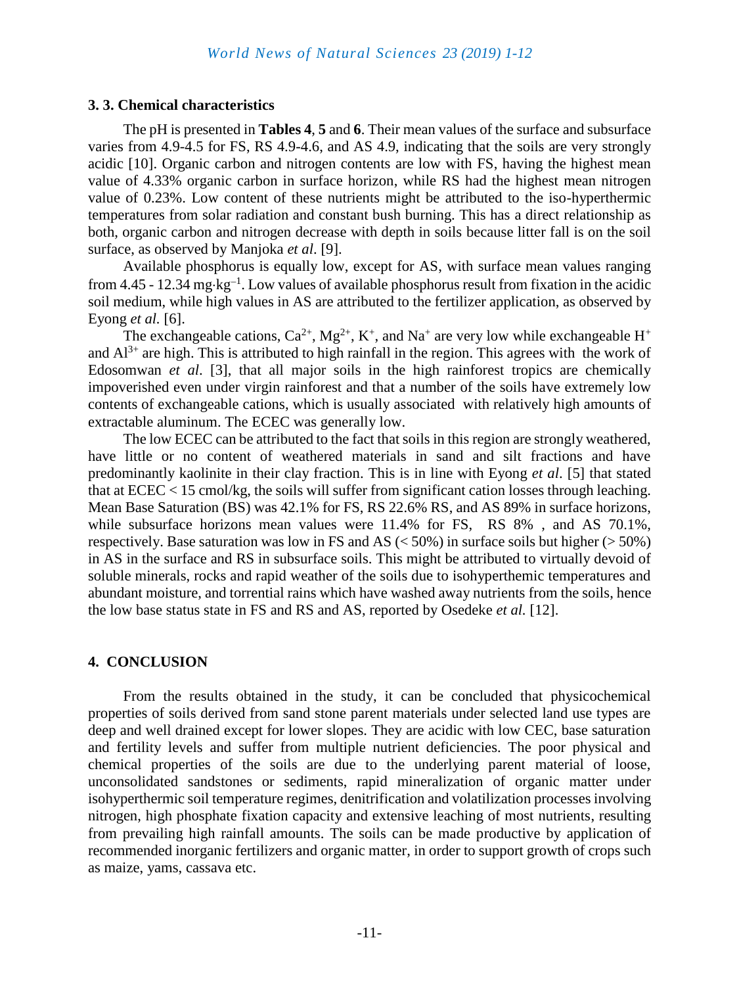#### **3. 3. Chemical characteristics**

The pH is presented in **Tables 4**, **5** and **6**. Their mean values of the surface and subsurface varies from 4.9-4.5 for FS, RS 4.9-4.6, and AS 4.9, indicating that the soils are very strongly acidic [10]. Organic carbon and nitrogen contents are low with FS, having the highest mean value of 4.33% organic carbon in surface horizon, while RS had the highest mean nitrogen value of 0.23%. Low content of these nutrients might be attributed to the iso-hyperthermic temperatures from solar radiation and constant bush burning. This has a direct relationship as both, organic carbon and nitrogen decrease with depth in soils because litter fall is on the soil surface, as observed by Manjoka *et al*. [9].

Available phosphorus is equally low, except for AS, with surface mean values ranging from 4.45 - 12.34 mg·kg<sup>-1</sup>. Low values of available phosphorus result from fixation in the acidic soil medium, while high values in AS are attributed to the fertilizer application, as observed by Eyong *et al.* [6].

The exchangeable cations,  $Ca^{2+}$ ,  $Mg^{2+}$ , K<sup>+</sup>, and Na<sup>+</sup> are very low while exchangeable H<sup>+</sup> and  $Al^{3+}$  are high. This is attributed to high rainfall in the region. This agrees with the work of Edosomwan *et al*. [3], that all major soils in the high rainforest tropics are chemically impoverished even under virgin rainforest and that a number of the soils have extremely low contents of exchangeable cations, which is usually associated with relatively high amounts of extractable aluminum. The ECEC was generally low.

The low ECEC can be attributed to the fact that soils in this region are strongly weathered, have little or no content of weathered materials in sand and silt fractions and have predominantly kaolinite in their clay fraction. This is in line with Eyong *et al*. [5] that stated that at ECEC < 15 cmol/kg, the soils will suffer from significant cation losses through leaching. Mean Base Saturation (BS) was 42.1% for FS, RS 22.6% RS, and AS 89% in surface horizons, while subsurface horizons mean values were 11.4% for FS, RS 8%, and AS 70.1%, respectively. Base saturation was low in FS and AS  $(< 50\%)$  in surface soils but higher  $(> 50\%)$ in AS in the surface and RS in subsurface soils. This might be attributed to virtually devoid of soluble minerals, rocks and rapid weather of the soils due to isohyperthemic temperatures and abundant moisture, and torrential rains which have washed away nutrients from the soils, hence the low base status state in FS and RS and AS, reported by Osedeke *et al.* [12].

#### **4. CONCLUSION**

From the results obtained in the study, it can be concluded that physicochemical properties of soils derived from sand stone parent materials under selected land use types are deep and well drained except for lower slopes. They are acidic with low CEC, base saturation and fertility levels and suffer from multiple nutrient deficiencies. The poor physical and chemical properties of the soils are due to the underlying parent material of loose, unconsolidated sandstones or sediments, rapid mineralization of organic matter under isohyperthermic soil temperature regimes, denitrification and volatilization processes involving nitrogen, high phosphate fixation capacity and extensive leaching of most nutrients, resulting from prevailing high rainfall amounts. The soils can be made productive by application of recommended inorganic fertilizers and organic matter, in order to support growth of crops such as maize, yams, cassava etc.